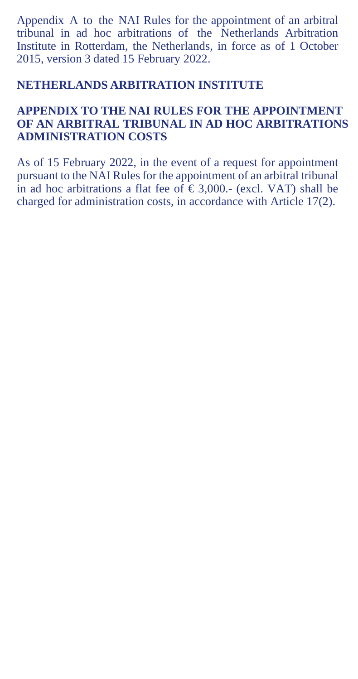Appendix A to the NAI Rules for the appointment of an arbitral tribunal in ad hoc arbitrations of the Netherlands Arbitration Institute in Rotterdam, the Netherlands, in force as of 1 October 2015, version 3 dated 15 February 2022.

## **NETHERLANDS ARBITRATION INSTITUTE**

## **APPENDIX TO THE NAI RULES FOR THE APPOINTMENT OF AN ARBITRAL TRIBUNAL IN AD HOC ARBITRATIONS ADMINISTRATION COSTS**

As of 15 February 2022, in the event of a request for appointment pursuant to the NAI Rules for the appointment of an arbitral tribunal in ad hoc arbitrations a flat fee of  $\hat{\epsilon}$  3,000.- (excl. VAT) shall be charged for administration costs, in accordance with Article 17(2).